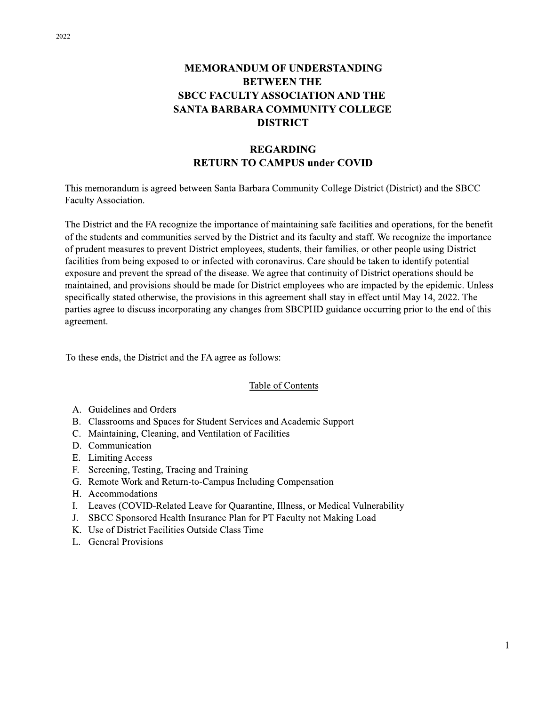#### **MEMORANDUM OF UNDERSTANDING BETWEEN THE SBCC FACULTY ASSOCIATION AND THE** SANTA BARBARA COMMUNITY COLLEGE **DISTRICT**

#### **REGARDING RETURN TO CAMPUS under COVID**

This memorandum is agreed between Santa Barbara Community College District (District) and the SBCC Faculty Association.

The District and the FA recognize the importance of maintaining safe facilities and operations, for the benefit of the students and communities served by the District and its faculty and staff. We recognize the importance of prudent measures to prevent District employees, students, their families, or other people using District facilities from being exposed to or infected with coronavirus. Care should be taken to identify potential exposure and prevent the spread of the disease. We agree that continuity of District operations should be maintained, and provisions should be made for District employees who are impacted by the epidemic. Unless specifically stated otherwise, the provisions in this agreement shall stay in effect until May 14, 2022. The parties agree to discuss incorporating any changes from SBCPHD guidance occurring prior to the end of this agreement.

To these ends, the District and the FA agree as follows:

#### **Table of Contents**

- A. Guidelines and Orders
- B. Classrooms and Spaces for Student Services and Academic Support
- C. Maintaining, Cleaning, and Ventilation of Facilities
- D. Communication
- E. Limiting Access
- F. Screening, Testing, Tracing and Training
- G. Remote Work and Return-to-Campus Including Compensation
- H. Accommodations
- I. Leaves (COVID-Related Leave for Quarantine, Illness, or Medical Vulnerability
- J. SBCC Sponsored Health Insurance Plan for PT Faculty not Making Load
- K. Use of District Facilities Outside Class Time
- L. General Provisions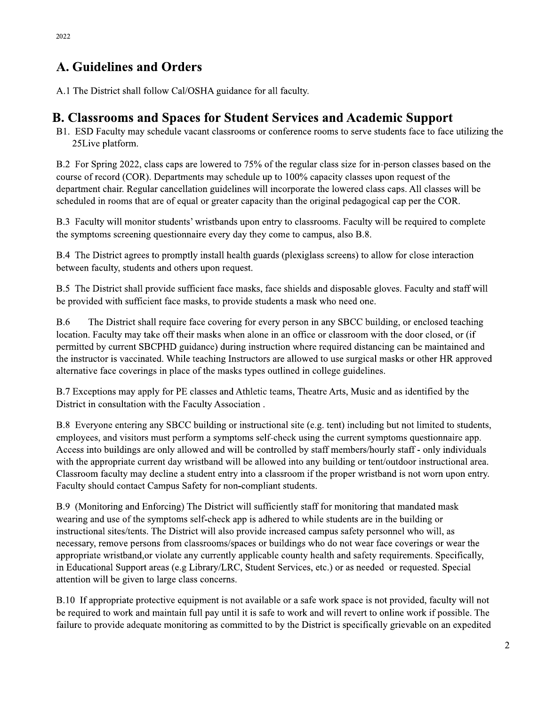## **A. Guidelines and Orders**

A.1 The District shall follow Cal/OSHA guidance for all faculty.

#### **B. Classrooms and Spaces for Student Services and Academic Support**

B1. ESD Faculty may schedule vacant classrooms or conference rooms to serve students face to face utilizing the 25Live platform.

B.2 For Spring 2022, class caps are lowered to 75% of the regular class size for in-person classes based on the course of record (COR). Departments may schedule up to 100% capacity classes upon request of the department chair. Regular cancellation guidelines will incorporate the lowered class caps. All classes will be scheduled in rooms that are of equal or greater capacity than the original pedagogical cap per the COR.

B.3 Faculty will monitor students' wristbands upon entry to classrooms. Faculty will be required to complete the symptoms screening questionnaire every day they come to campus, also B.8.

B.4 The District agrees to promptly install health guards (plexiglass screens) to allow for close interaction between faculty, students and others upon request.

B.5 The District shall provide sufficient face masks, face shields and disposable gloves. Faculty and staff will be provided with sufficient face masks, to provide students a mask who need one.

 $B.6$ The District shall require face covering for every person in any SBCC building, or enclosed teaching location. Faculty may take off their masks when alone in an office or classroom with the door closed, or (if permitted by current SBCPHD guidance) during instruction where required distancing can be maintained and the instructor is vaccinated. While teaching Instructors are allowed to use surgical masks or other HR approved alternative face coverings in place of the masks types outlined in college guidelines.

B.7 Exceptions may apply for PE classes and Athletic teams, Theatre Arts, Music and as identified by the District in consultation with the Faculty Association.

B.8 Everyone entering any SBCC building or instructional site (e.g. tent) including but not limited to students, employees, and visitors must perform a symptoms self-check using the current symptoms questionnaire app. Access into buildings are only allowed and will be controlled by staff members/hourly staff - only individuals with the appropriate current day wristband will be allowed into any building or tent/outdoor instructional area. Classroom faculty may decline a student entry into a classroom if the proper wristband is not worn upon entry. Faculty should contact Campus Safety for non-compliant students.

B.9 (Monitoring and Enforcing) The District will sufficiently staff for monitoring that mandated mask wearing and use of the symptoms self-check app is adhered to while students are in the building or instructional sites/tents. The District will also provide increased campus safety personnel who will, as necessary, remove persons from classrooms/spaces or buildings who do not wear face coverings or wear the appropriate wristband, or violate any currently applicable county health and safety requirements. Specifically, in Educational Support areas (e.g Library/LRC, Student Services, etc.) or as needed or requested. Special attention will be given to large class concerns.

B.10 If appropriate protective equipment is not available or a safe work space is not provided, faculty will not be required to work and maintain full pay until it is safe to work and will revert to online work if possible. The failure to provide adequate monitoring as committed to by the District is specifically grievable on an expedited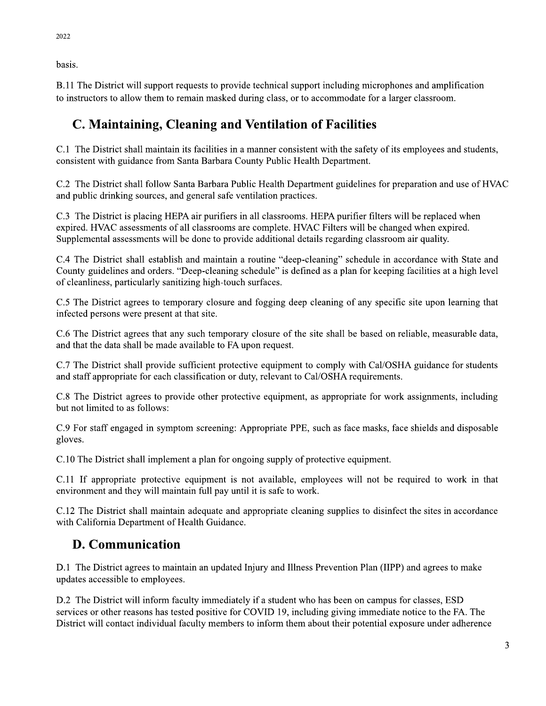basis.

B.11 The District will support requests to provide technical support including microphones and amplification to instructors to allow them to remain masked during class, or to accommodate for a larger classroom.

# C. Maintaining, Cleaning and Ventilation of Facilities

C.1 The District shall maintain its facilities in a manner consistent with the safety of its employees and students, consistent with guidance from Santa Barbara County Public Health Department.

C.2 The District shall follow Santa Barbara Public Health Department guidelines for preparation and use of HVAC and public drinking sources, and general safe ventilation practices.

C.3 The District is placing HEPA air purifiers in all classrooms. HEPA purifier filters will be replaced when expired. HVAC assessments of all classrooms are complete. HVAC Filters will be changed when expired. Supplemental assessments will be done to provide additional details regarding classroom air quality.

C.4 The District shall establish and maintain a routine "deep-cleaning" schedule in accordance with State and County guidelines and orders. "Deep-cleaning schedule" is defined as a plan for keeping facilities at a high level of cleanliness, particularly sanitizing high-touch surfaces.

C.5 The District agrees to temporary closure and fogging deep cleaning of any specific site upon learning that infected persons were present at that site.

C.6 The District agrees that any such temporary closure of the site shall be based on reliable, measurable data, and that the data shall be made available to FA upon request.

C.7 The District shall provide sufficient protective equipment to comply with Cal/OSHA guidance for students and staff appropriate for each classification or duty, relevant to Cal/OSHA requirements.

C.8 The District agrees to provide other protective equipment, as appropriate for work assignments, including but not limited to as follows:

C.9 For staff engaged in symptom screening: Appropriate PPE, such as face masks, face shields and disposable gloves.

C.10 The District shall implement a plan for ongoing supply of protective equipment.

C.11 If appropriate protective equipment is not available, employees will not be required to work in that environment and they will maintain full pay until it is safe to work.

C.12 The District shall maintain adequate and appropriate cleaning supplies to disinfect the sites in accordance with California Department of Health Guidance.

# **D. Communication**

D.1 The District agrees to maintain an updated Injury and Illness Prevention Plan (IIPP) and agrees to make updates accessible to employees.

D.2 The District will inform faculty immediately if a student who has been on campus for classes, ESD services or other reasons has tested positive for COVID 19, including giving immediate notice to the FA. The District will contact individual faculty members to inform them about their potential exposure under adherence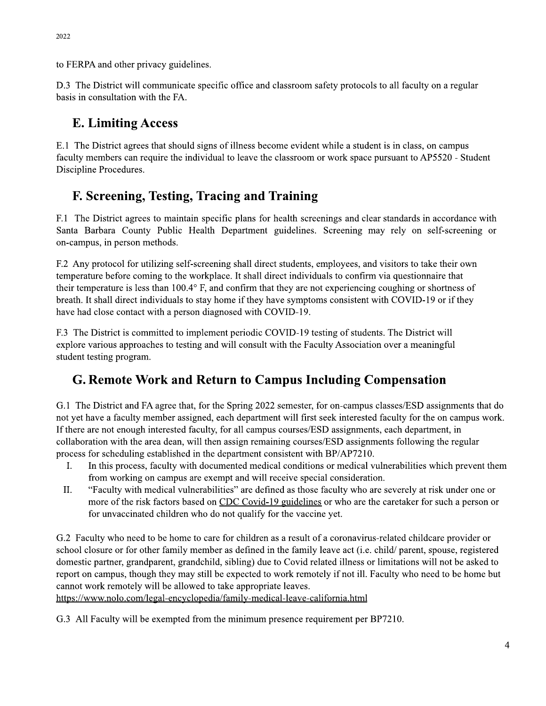to FERPA and other privacy guidelines.

D.3 The District will communicate specific office and classroom safety protocols to all faculty on a regular basis in consultation with the FA.

#### **E. Limiting Access**

E.1 The District agrees that should signs of illness become evident while a student is in class, on campus faculty members can require the individual to leave the classroom or work space pursuant to AP5520 - Student Discipline Procedures.

## F. Screening, Testing, Tracing and Training

F.1 The District agrees to maintain specific plans for health screenings and clear standards in accordance with Santa Barbara County Public Health Department guidelines. Screening may rely on self-screening or on-campus, in person methods.

F.2 Any protocol for utilizing self-screening shall direct students, employees, and visitors to take their own temperature before coming to the workplace. It shall direct individuals to confirm via questionnaire that their temperature is less than 100.4° F, and confirm that they are not experiencing coughing or shortness of breath. It shall direct individuals to stay home if they have symptoms consistent with COVID-19 or if they have had close contact with a person diagnosed with COVID-19.

F.3 The District is committed to implement periodic COVID-19 testing of students. The District will explore various approaches to testing and will consult with the Faculty Association over a meaningful student testing program.

## G. Remote Work and Return to Campus Including Compensation

G.1 The District and FA agree that, for the Spring 2022 semester, for on-campus classes/ESD assignments that do not yet have a faculty member assigned, each department will first seek interested faculty for the on campus work. If there are not enough interested faculty, for all campus courses/ESD assignments, each department, in collaboration with the area dean, will then assign remaining courses/ESD assignments following the regular process for scheduling established in the department consistent with BP/AP7210.

- I. In this process, faculty with documented medical conditions or medical vulnerabilities which prevent them from working on campus are exempt and will receive special consideration.
- II. "Faculty with medical vulnerabilities" are defined as those faculty who are severely at risk under one or more of the risk factors based on CDC Covid-19 guidelines or who are the caretaker for such a person or for unvaccinated children who do not qualify for the vaccine yet.

G.2 Faculty who need to be home to care for children as a result of a coronavirus-related childcare provider or school closure or for other family member as defined in the family leave act (i.e. child/ parent, spouse, registered domestic partner, grandparent, grandchild, sibling) due to Covid related illness or limitations will not be asked to report on campus, though they may still be expected to work remotely if not ill. Faculty who need to be home but cannot work remotely will be allowed to take appropriate leaves.

https://www.nolo.com/legal-encyclopedia/family-medical-leave-california.html

G.3 All Faculty will be exempted from the minimum presence requirement per BP7210.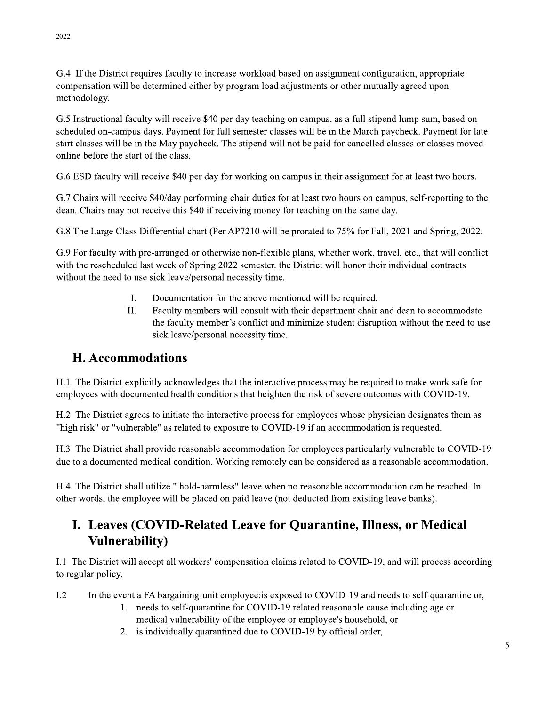2022

G.4 If the District requires faculty to increase workload based on assignment configuration, appropriate compensation will be determined either by program load adjustments or other mutually agreed upon methodology.

G.5 Instructional faculty will receive \$40 per day teaching on campus, as a full stipend lump sum, based on scheduled on-campus days. Payment for full semester classes will be in the March paycheck. Payment for late start classes will be in the May paycheck. The stipend will not be paid for cancelled classes or classes moved online before the start of the class.

G.6 ESD faculty will receive \$40 per day for working on campus in their assignment for at least two hours.

G.7 Chairs will receive \$40/day performing chair duties for at least two hours on campus, self-reporting to the dean. Chairs may not receive this \$40 if receiving money for teaching on the same day.

G.8 The Large Class Differential chart (Per AP7210 will be prorated to 75% for Fall, 2021 and Spring, 2022.

G.9 For faculty with pre-arranged or otherwise non-flexible plans, whether work, travel, etc., that will conflict with the rescheduled last week of Spring 2022 semester. the District will honor their individual contracts without the need to use sick leave/personal necessity time.

- I. Documentation for the above mentioned will be required.
- II. Faculty members will consult with their department chair and dean to accommodate the faculty member's conflict and minimize student disruption without the need to use sick leave/personal necessity time.

#### **H. Accommodations**

H.1 The District explicitly acknowledges that the interactive process may be required to make work safe for employees with documented health conditions that heighten the risk of severe outcomes with COVID-19.

H.2 The District agrees to initiate the interactive process for employees whose physician designates them as "high risk" or "vulnerable" as related to exposure to COVID-19 if an accommodation is requested.

H.3 The District shall provide reasonable accommodation for employees particularly vulnerable to COVID-19 due to a documented medical condition. Working remotely can be considered as a reasonable accommodation.

H.4 The District shall utilize " hold-harmless" leave when no reasonable accommodation can be reached. In other words, the employee will be placed on paid leave (not deducted from existing leave banks).

# I. Leaves (COVID-Related Leave for Quarantine, Illness, or Medical **Vulnerability**)

I.1 The District will accept all workers' compensation claims related to COVID-19, and will process according to regular policy.

- $L<sub>2</sub>$ In the event a FA bargaining-unit employee: is exposed to COVID-19 and needs to self-quarantine or,
	- 1. needs to self-quarantine for COVID-19 related reasonable cause including age or medical vulnerability of the employee or employee's household, or
	- 2. is individually quarantined due to COVID-19 by official order,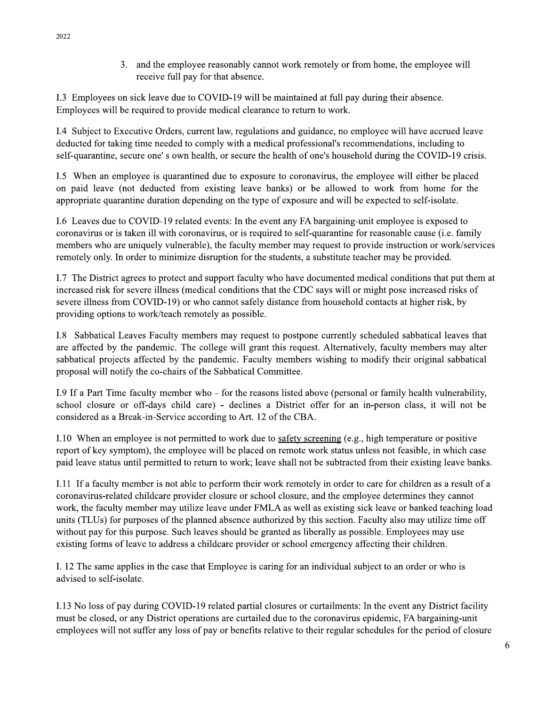3. and the employee reasonably cannot work remotely or from home, the employee will receive full pay for that absence.

I.3 Employees on sick leave due to COVID-19 will be maintained at full pay during their absence. Employees will be required to provide medical clearance to return to work.

I.4 Subject to Executive Orders, current law, regulations and guidance, no employee will have accrued leave deducted for taking time needed to comply with a medical professional's recommendations, including to self-quarantine, secure one's own health, or secure the health of one's household during the COVID-19 crisis.

I.5 When an employee is quarantined due to exposure to coronavirus, the employee will either be placed on paid leave (not deducted from existing leave banks) or be allowed to work from home for the appropriate quarantine duration depending on the type of exposure and will be expected to self-isolate.

1.6 Leaves due to COVID-19 related events: In the event any FA bargaining-unit employee is exposed to coronavirus or is taken ill with coronavirus, or is required to self-quarantine for reasonable cause (i.e. family members who are uniquely vulnerable), the faculty member may request to provide instruction or work/services remotely only. In order to minimize disruption for the students, a substitute teacher may be provided.

I.7 The District agrees to protect and support faculty who have documented medical conditions that put them at increased risk for severe illness (medical conditions that the CDC says will or might pose increased risks of severe illness from COVID-19) or who cannot safely distance from household contacts at higher risk, by providing options to work/teach remotely as possible.

I.8 Sabbatical Leaves Faculty members may request to postpone currently scheduled sabbatical leaves that are affected by the pandemic. The college will grant this request. Alternatively, faculty members may alter sabbatical projects affected by the pandemic. Faculty members wishing to modify their original sabbatical proposal will notify the co-chairs of the Sabbatical Committee.

1.9 If a Part Time faculty member who - for the reasons listed above (personal or family health vulnerability, school closure or off-days child care) - declines a District offer for an in-person class, it will not be considered as a Break-in-Service according to Art. 12 of the CBA.

I.10 When an employee is not permitted to work due to safety screening (e.g., high temperature or positive report of key symptom), the employee will be placed on remote work status unless not feasible, in which case paid leave status until permitted to return to work; leave shall not be subtracted from their existing leave banks.

I.11 If a faculty member is not able to perform their work remotely in order to care for children as a result of a coronavirus-related childcare provider closure or school closure, and the employee determines they cannot work, the faculty member may utilize leave under FMLA as well as existing sick leave or banked teaching load units (TLUs) for purposes of the planned absence authorized by this section. Faculty also may utilize time off without pay for this purpose. Such leaves should be granted as liberally as possible. Employees may use existing forms of leave to address a childcare provider or school emergency affecting their children.

I. 12 The same applies in the case that Employee is caring for an individual subject to an order or who is advised to self-isolate.

I.13 No loss of pay during COVID-19 related partial closures or curtailments: In the event any District facility must be closed, or any District operations are curtailed due to the coronavirus epidemic, FA bargaining-unit employees will not suffer any loss of pay or benefits relative to their regular schedules for the period of closure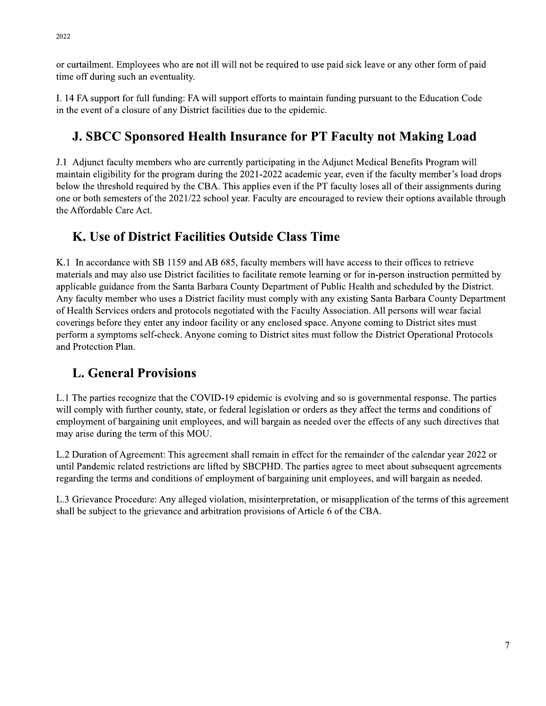or curtailment. Employees who are not ill will not be required to use paid sick leave or any other form of paid time off during such an eventuality.

I. 14 FA support for full funding: FA will support efforts to maintain funding pursuant to the Education Code in the event of a closure of any District facilities due to the epidemic.

## **J. SBCC Sponsored Health Insurance for PT Faculty not Making Load**

J.1 Adjunct faculty members who are currently participating in the Adjunct Medical Benefits Program will maintain eligibility for the program during the 2021-2022 academic year, even if the faculty member's load drops below the threshold required by the CBA. This applies even if the PT faculty loses all of their assignments during one or both semesters of the 2021/22 school year. Faculty are encouraged to review their options available through the Affordable Care Act.

## K. Use of District Facilities Outside Class Time

K.1 In accordance with SB 1159 and AB 685, faculty members will have access to their offices to retrieve materials and may also use District facilities to facilitate remote learning or for in-person instruction permitted by applicable guidance from the Santa Barbara County Department of Public Health and scheduled by the District. Any faculty member who uses a District facility must comply with any existing Santa Barbara County Department of Health Services orders and protocols negotiated with the Faculty Association. All persons will wear facial coverings before they enter any indoor facility or any enclosed space. Anyone coming to District sites must perform a symptoms self-check. Anyone coming to District sites must follow the District Operational Protocols and Protection Plan.

## **L. General Provisions**

L.1 The parties recognize that the COVID-19 epidemic is evolving and so is governmental response. The parties will comply with further county, state, or federal legislation or orders as they affect the terms and conditions of employment of bargaining unit employees, and will bargain as needed over the effects of any such directives that may arise during the term of this MOU.

L.2 Duration of Agreement: This agreement shall remain in effect for the remainder of the calendar year 2022 or until Pandemic related restrictions are lifted by SBCPHD. The parties agree to meet about subsequent agreements regarding the terms and conditions of employment of bargaining unit employees, and will bargain as needed.

L.3 Grievance Procedure: Any alleged violation, misinterpretation, or misapplication of the terms of this agreement shall be subject to the grievance and arbitration provisions of Article 6 of the CBA.